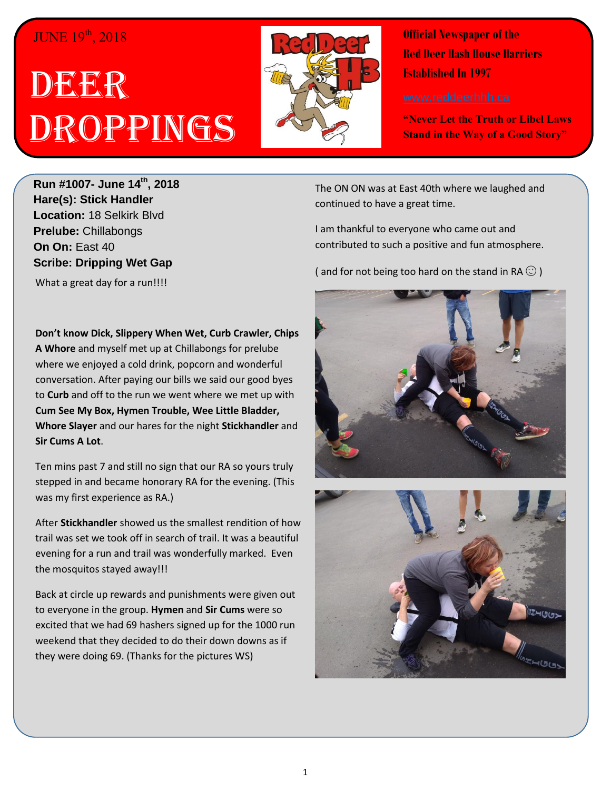## JUNE 19<sup>th</sup>, 2018

## DEER Droppings



**Official Newspaper of the Red Deer Hash House Harriers Established In 1997** 

**"Never Let the Truth or Libel Laws Stand in the Way of a Good Story"**

**Run #1007- June 14th, 2018 Hare(s): Stick Handler Location:** 18 Selkirk Blvd **Prelube:** Chillabongs **On On:** East 40 **Scribe: Dripping Wet Gap**

What a great day for a run!!!!

**Don't know Dick, Slippery When Wet, Curb Crawler, Chips A Whore** and myself met up at Chillabongs for prelube where we enjoyed a cold drink, popcorn and wonderful conversation. After paying our bills we said our good byes to **Curb** and off to the run we went where we met up with **Cum See My Box, Hymen Trouble, Wee Little Bladder, Whore Slayer** and our hares for the night **Stickhandler** and **Sir Cums A Lot**.

Ten mins past 7 and still no sign that our RA so yours truly stepped in and became honorary RA for the evening. (This was my first experience as RA.)

After **Stickhandler** showed us the smallest rendition of how trail was set we took off in search of trail. It was a beautiful evening for a run and trail was wonderfully marked. Even the mosquitos stayed away!!!

Back at circle up rewards and punishments were given out to everyone in the group. **Hymen** and **Sir Cums** were so excited that we had 69 hashers signed up for the 1000 run weekend that they decided to do their down downs as if they were doing 69. (Thanks for the pictures WS)

The ON ON was at East 40th where we laughed and continued to have a great time.

I am thankful to everyone who came out and contributed to such a positive and fun atmosphere.

( and for not being too hard on the stand in RA  $\odot$  )